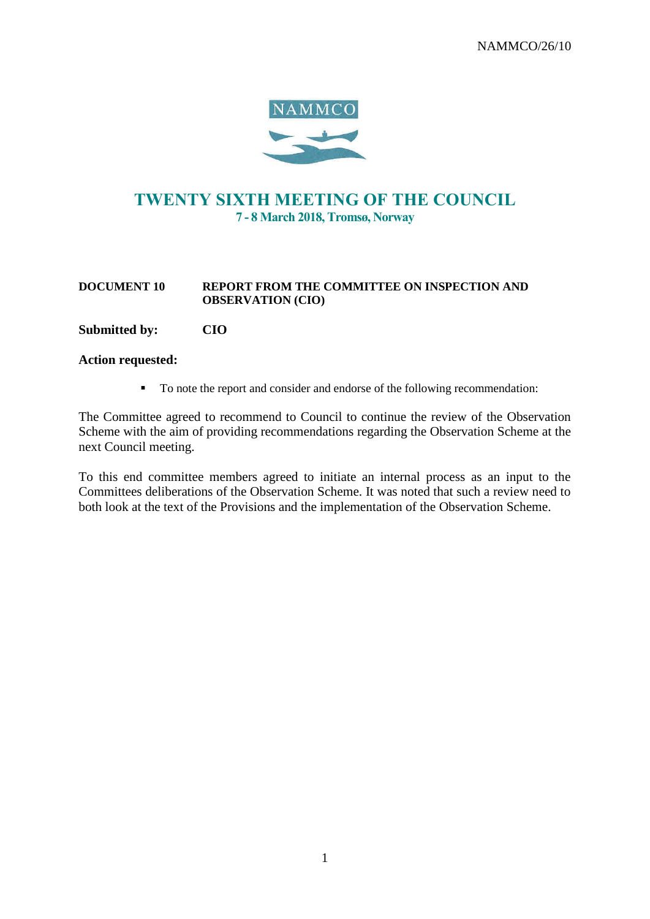

# TWENTY SIXTH MEETING OF THE COUNCIL 7 - 8 March 2018, Tromsø, Norway

#### **DOCUMENT 10 REPORT FROM THE COMMITTEE ON INSPECTION AND OBSERVATION (CIO)**

### **Submitted by: CIO**

### **Action requested:**

■ To note the report and consider and endorse of the following recommendation:

The Committee agreed to recommend to Council to continue the review of the Observation Scheme with the aim of providing recommendations regarding the Observation Scheme at the next Council meeting.

To this end committee members agreed to initiate an internal process as an input to the Committees deliberations of the Observation Scheme. It was noted that such a review need to both look at the text of the Provisions and the implementation of the Observation Scheme.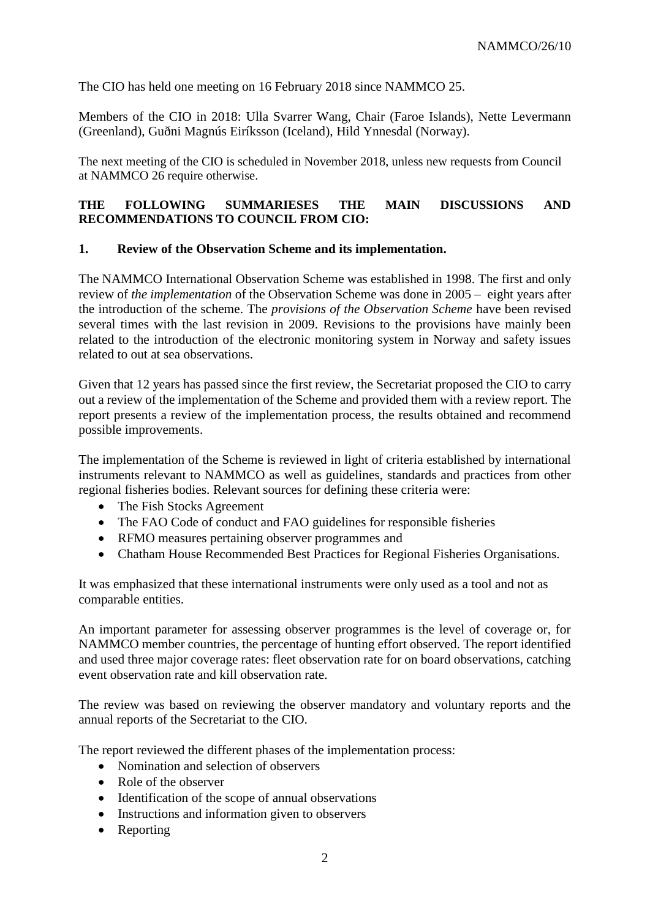The CIO has held one meeting on 16 February 2018 since NAMMCO 25.

Members of the CIO in 2018: Ulla Svarrer Wang, Chair (Faroe Islands), Nette Levermann (Greenland), Guðni Magnús Eiríksson (Iceland), Hild Ynnesdal (Norway).

The next meeting of the CIO is scheduled in November 2018, unless new requests from Council at NAMMCO 26 require otherwise.

## **THE FOLLOWING SUMMARIESES THE MAIN DISCUSSIONS AND RECOMMENDATIONS TO COUNCIL FROM CIO:**

## **1. Review of the Observation Scheme and its implementation.**

The NAMMCO International Observation Scheme was established in 1998. The first and only review of *the implementation* of the Observation Scheme was done in 2005 – eight years after the introduction of the scheme. The *provisions of the Observation Scheme* have been revised several times with the last revision in 2009. Revisions to the provisions have mainly been related to the introduction of the electronic monitoring system in Norway and safety issues related to out at sea observations.

Given that 12 years has passed since the first review, the Secretariat proposed the CIO to carry out a review of the implementation of the Scheme and provided them with a review report. The report presents a review of the implementation process, the results obtained and recommend possible improvements.

The implementation of the Scheme is reviewed in light of criteria established by international instruments relevant to NAMMCO as well as guidelines, standards and practices from other regional fisheries bodies. Relevant sources for defining these criteria were:

- The Fish Stocks Agreement
- The FAO Code of conduct and FAO guidelines for responsible fisheries
- RFMO measures pertaining observer programmes and
- Chatham House Recommended Best Practices for Regional Fisheries Organisations.

It was emphasized that these international instruments were only used as a tool and not as comparable entities.

An important parameter for assessing observer programmes is the level of coverage or, for NAMMCO member countries, the percentage of hunting effort observed. The report identified and used three major coverage rates: fleet observation rate for on board observations, catching event observation rate and kill observation rate.

The review was based on reviewing the observer mandatory and voluntary reports and the annual reports of the Secretariat to the CIO.

The report reviewed the different phases of the implementation process:

- Nomination and selection of observers
- Role of the observer
- Identification of the scope of annual observations
- Instructions and information given to observers
- Reporting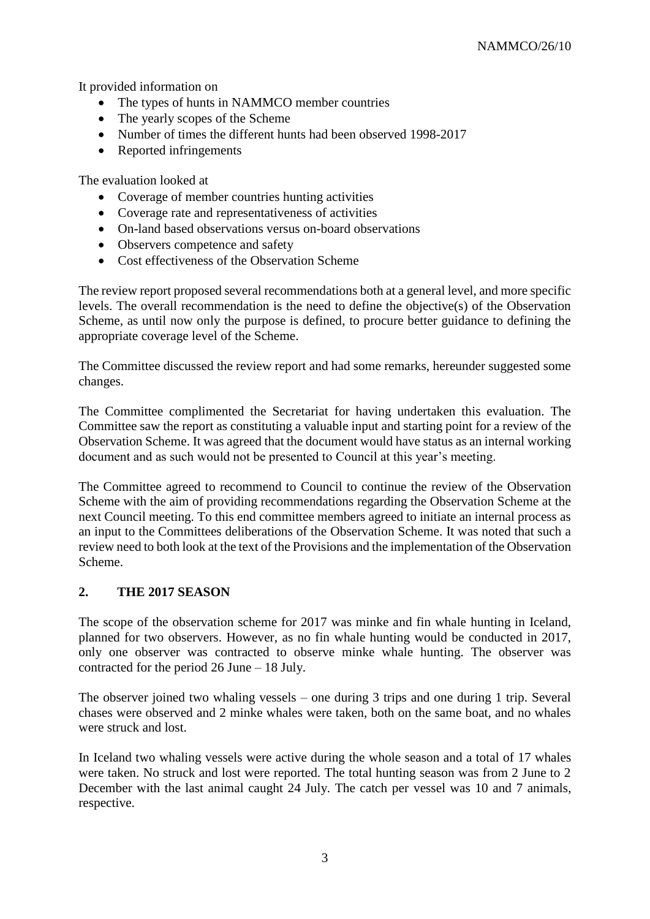It provided information on

- The types of hunts in NAMMCO member countries
- The yearly scopes of the Scheme
- Number of times the different hunts had been observed 1998-2017
- Reported infringements

The evaluation looked at

- Coverage of member countries hunting activities
- Coverage rate and representativeness of activities
- On-land based observations versus on-board observations
- Observers competence and safety
- Cost effectiveness of the Observation Scheme

The review report proposed several recommendations both at a general level, and more specific levels. The overall recommendation is the need to define the objective(s) of the Observation Scheme, as until now only the purpose is defined, to procure better guidance to defining the appropriate coverage level of the Scheme.

The Committee discussed the review report and had some remarks, hereunder suggested some changes.

The Committee complimented the Secretariat for having undertaken this evaluation. The Committee saw the report as constituting a valuable input and starting point for a review of the Observation Scheme. It was agreed that the document would have status as an internal working document and as such would not be presented to Council at this year's meeting.

The Committee agreed to recommend to Council to continue the review of the Observation Scheme with the aim of providing recommendations regarding the Observation Scheme at the next Council meeting. To this end committee members agreed to initiate an internal process as an input to the Committees deliberations of the Observation Scheme. It was noted that such a review need to both look at the text of the Provisions and the implementation of the Observation Scheme.

# **2. THE 2017 SEASON**

The scope of the observation scheme for 2017 was minke and fin whale hunting in Iceland, planned for two observers. However, as no fin whale hunting would be conducted in 2017, only one observer was contracted to observe minke whale hunting. The observer was contracted for the period 26 June – 18 July.

The observer joined two whaling vessels – one during 3 trips and one during 1 trip. Several chases were observed and 2 minke whales were taken, both on the same boat, and no whales were struck and lost.

In Iceland two whaling vessels were active during the whole season and a total of 17 whales were taken. No struck and lost were reported. The total hunting season was from 2 June to 2 December with the last animal caught 24 July. The catch per vessel was 10 and 7 animals, respective.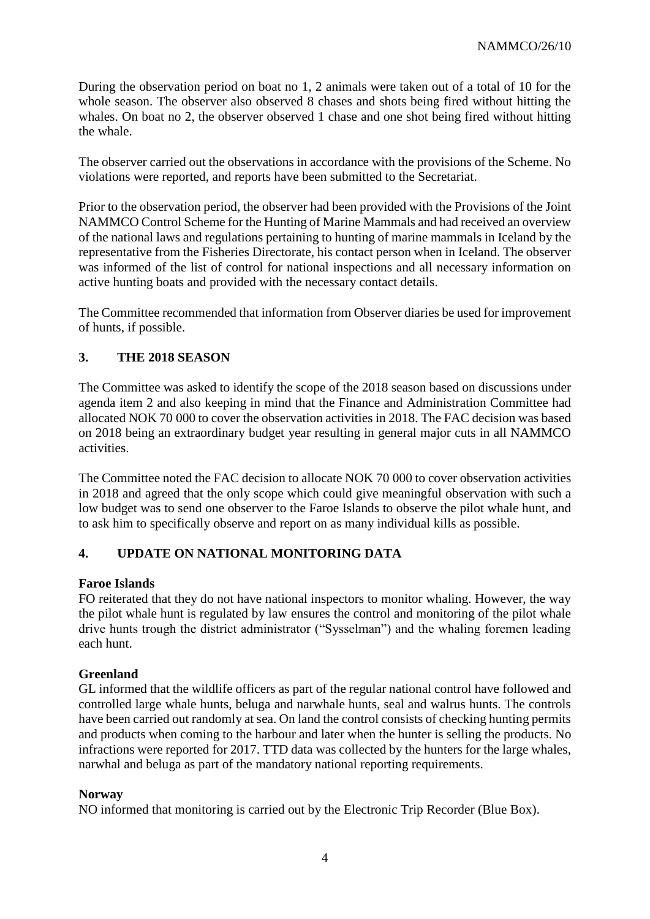During the observation period on boat no 1, 2 animals were taken out of a total of 10 for the whole season. The observer also observed 8 chases and shots being fired without hitting the whales. On boat no 2, the observer observed 1 chase and one shot being fired without hitting the whale.

The observer carried out the observations in accordance with the provisions of the Scheme. No violations were reported, and reports have been submitted to the Secretariat.

Prior to the observation period, the observer had been provided with the Provisions of the Joint NAMMCO Control Scheme for the Hunting of Marine Mammals and had received an overview of the national laws and regulations pertaining to hunting of marine mammals in Iceland by the representative from the Fisheries Directorate, his contact person when in Iceland. The observer was informed of the list of control for national inspections and all necessary information on active hunting boats and provided with the necessary contact details.

The Committee recommended that information from Observer diaries be used for improvement of hunts, if possible.

# **3. THE 2018 SEASON**

The Committee was asked to identify the scope of the 2018 season based on discussions under agenda item 2 and also keeping in mind that the Finance and Administration Committee had allocated NOK 70 000 to cover the observation activities in 2018. The FAC decision was based on 2018 being an extraordinary budget year resulting in general major cuts in all NAMMCO activities.

The Committee noted the FAC decision to allocate NOK 70 000 to cover observation activities in 2018 and agreed that the only scope which could give meaningful observation with such a low budget was to send one observer to the Faroe Islands to observe the pilot whale hunt, and to ask him to specifically observe and report on as many individual kills as possible.

# **4. UPDATE ON NATIONAL MONITORING DATA**

# **Faroe Islands**

FO reiterated that they do not have national inspectors to monitor whaling. However, the way the pilot whale hunt is regulated by law ensures the control and monitoring of the pilot whale drive hunts trough the district administrator ("Sysselman") and the whaling foremen leading each hunt.

# **Greenland**

GL informed that the wildlife officers as part of the regular national control have followed and controlled large whale hunts, beluga and narwhale hunts, seal and walrus hunts. The controls have been carried out randomly at sea. On land the control consists of checking hunting permits and products when coming to the harbour and later when the hunter is selling the products. No infractions were reported for 2017. TTD data was collected by the hunters for the large whales, narwhal and beluga as part of the mandatory national reporting requirements.

### **Norway**

NO informed that monitoring is carried out by the Electronic Trip Recorder (Blue Box).